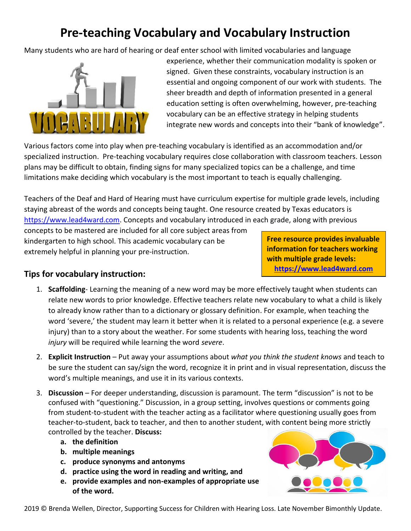## **Pre-teaching Vocabulary and Vocabulary Instruction**

Many students who are hard of hearing or deaf enter school with limited vocabularies and language



experience, whether their communication modality is spoken or signed. Given these constraints, vocabulary instruction is an essential and ongoing component of our work with students. The sheer breadth and depth of information presented in a general education setting is often overwhelming, however, pre-teaching vocabulary can be an effective strategy in helping students integrate new words and concepts into their "bank of knowledge".

Various factors come into play when pre-teaching vocabulary is identified as an accommodation and/or specialized instruction. Pre-teaching vocabulary requires close collaboration with classroom teachers. Lesson plans may be difficult to obtain, finding signs for many specialized topics can be a challenge, and time limitations make deciding which vocabulary is the most important to teach is equally challenging.

Teachers of the Deaf and Hard of Hearing must have curriculum expertise for multiple grade levels, including staying abreast of the words and concepts being taught. One resource created by Texas educators is [https://www.lead4ward.com.](https://www.lead4ward.com/) Concepts and vocabulary introduced in each grade, along with previous

concepts to be mastered are included for all core subject areas from kindergarten to high school. This academic vocabulary can be extremely helpful in planning your pre-instruction.

**Free resource provides invaluable information for teachers working with multiple grade levels: [https://www.lead4ward.com](https://www.lead4ward.com/)**

## **Tips for vocabulary instruction:**

- 1. **Scaffolding** Learning the meaning of a new word may be more effectively taught when students can relate new words to prior knowledge. Effective teachers relate new vocabulary to what a child is likely to already know rather than to a dictionary or glossary definition. For example, when teaching the word 'severe,' the student may learn it better when it is related to a personal experience (e.g. a severe injury) than to a story about the weather. For some students with hearing loss, teaching the word *injury* will be required while learning the word *severe*.
- 2. **Explicit Instruction** Put away your assumptions about *what you think the student knows* and teach to be sure the student can say/sign the word, recognize it in print and in visual representation, discuss the word's multiple meanings, and use it in its various contexts.
- 3. **Discussion** For deeper understanding, discussion is paramount. The term "discussion" is not to be confused with "questioning." Discussion, in a group setting, involves questions or comments going from student-to-student with the teacher acting as a facilitator where questioning usually goes from teacher-to-student, back to teacher, and then to another student, with content being more strictly controlled by the teacher. **Discuss:**
	- **a. the definition**
	- **b. multiple meanings**
	- **c. produce synonyms and antonyms**
	- **d. practice using the word in reading and writing, and**
	- **e. provide examples and non-examples of appropriate use of the word.**



2019 © Brenda Wellen, Director, Supporting Success for Children with Hearing Loss. Late November Bimonthly Update.